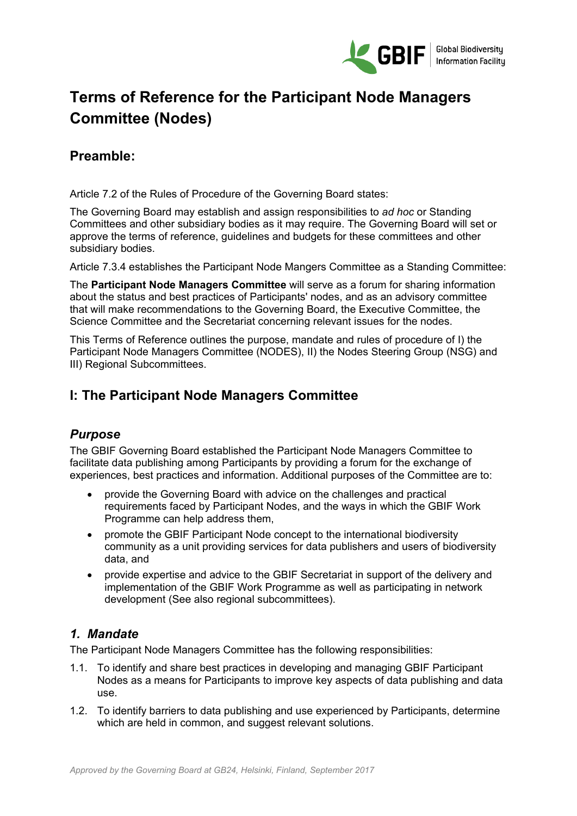

# **Terms of Reference for the Participant Node Managers Committee (Nodes)**

# **Preamble:**

Article 7.2 of the Rules of Procedure of the Governing Board states:

The Governing Board may establish and assign responsibilities to *ad hoc* or Standing Committees and other subsidiary bodies as it may require. The Governing Board will set or approve the terms of reference, guidelines and budgets for these committees and other subsidiary bodies.

Article 7.3.4 establishes the Participant Node Mangers Committee as a Standing Committee:

The **Participant Node Managers Committee** will serve as a forum for sharing information about the status and best practices of Participants' nodes, and as an advisory committee that will make recommendations to the Governing Board, the Executive Committee, the Science Committee and the Secretariat concerning relevant issues for the nodes.

This Terms of Reference outlines the purpose, mandate and rules of procedure of I) the Participant Node Managers Committee (NODES), II) the Nodes Steering Group (NSG) and III) Regional Subcommittees.

## **I: The Participant Node Managers Committee**

## *Purpose*

The GBIF Governing Board established the Participant Node Managers Committee to facilitate data publishing among Participants by providing a forum for the exchange of experiences, best practices and information. Additional purposes of the Committee are to:

- provide the Governing Board with advice on the challenges and practical requirements faced by Participant Nodes, and the ways in which the GBIF Work Programme can help address them,
- promote the GBIF Participant Node concept to the international biodiversity community as a unit providing services for data publishers and users of biodiversity data, and
- provide expertise and advice to the GBIF Secretariat in support of the delivery and implementation of the GBIF Work Programme as well as participating in network development (See also regional subcommittees).

## *1. Mandate*

The Participant Node Managers Committee has the following responsibilities:

- 1.1. To identify and share best practices in developing and managing GBIF Participant Nodes as a means for Participants to improve key aspects of data publishing and data use.
- 1.2. To identify barriers to data publishing and use experienced by Participants, determine which are held in common, and suggest relevant solutions.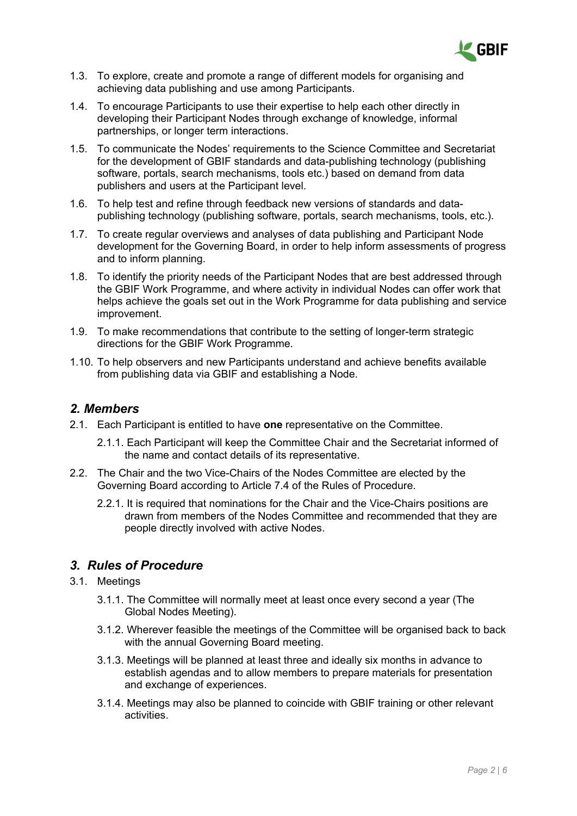

- 1.3. To explore, create and promote a range of different models for organising and achieving data publishing and use among Participants.
- 1.4. To encourage Participants to use their expertise to help each other directly in developing their Participant Nodes through exchange of knowledge, informal partnerships, or longer term interactions.
- 1.5. To communicate the Nodes' requirements to the Science Committee and Secretariat for the development of GBIF standards and data-publishing technology (publishing software, portals, search mechanisms, tools etc.) based on demand from data publishers and users at the Participant level.
- 1.6. To help test and refine through feedback new versions of standards and datapublishing technology (publishing software, portals, search mechanisms, tools, etc.).
- 1.7. To create regular overviews and analyses of data publishing and Participant Node development for the Governing Board, in order to help inform assessments of progress and to inform planning.
- 1.8. To identify the priority needs of the Participant Nodes that are best addressed through the GBIF Work Programme, and where activity in individual Nodes can offer work that helps achieve the goals set out in the Work Programme for data publishing and service improvement.
- 1.9. To make recommendations that contribute to the setting of longer-term strategic directions for the GBIF Work Programme.
- 1.10. To help observers and new Participants understand and achieve benefits available from publishing data via GBIF and establishing a Node.

#### *2. Members*

- 2.1. Each Participant is entitled to have **one** representative on the Committee.
	- 2.1.1. Each Participant will keep the Committee Chair and the Secretariat informed of the name and contact details of its representative.
- 2.2. The Chair and the two Vice-Chairs of the Nodes Committee are elected by the Governing Board according to Article 7.4 of the Rules of Procedure.
	- 2.2.1. It is required that nominations for the Chair and the Vice-Chairs positions are drawn from members of the Nodes Committee and recommended that they are people directly involved with active Nodes.

## *3. Rules of Procedure*

- 3.1. Meetings
	- 3.1.1. The Committee will normally meet at least once every second a year (The Global Nodes Meeting).
	- 3.1.2. Wherever feasible the meetings of the Committee will be organised back to back with the annual Governing Board meeting.
	- 3.1.3. Meetings will be planned at least three and ideally six months in advance to establish agendas and to allow members to prepare materials for presentation and exchange of experiences.
	- 3.1.4. Meetings may also be planned to coincide with GBIF training or other relevant activities.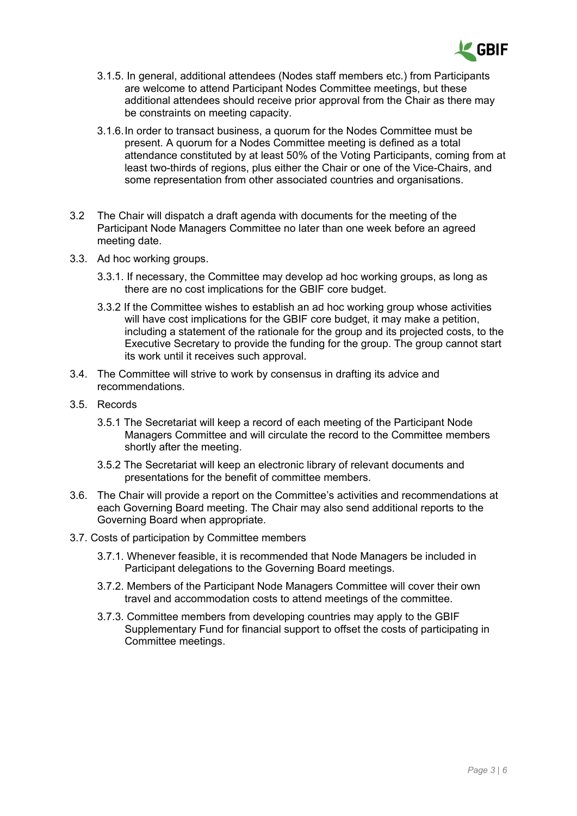

- 3.1.5. In general, additional attendees (Nodes staff members etc.) from Participants are welcome to attend Participant Nodes Committee meetings, but these additional attendees should receive prior approval from the Chair as there may be constraints on meeting capacity.
- 3.1.6.In order to transact business, a quorum for the Nodes Committee must be present. A quorum for a Nodes Committee meeting is defined as a total attendance constituted by at least 50% of the Voting Participants, coming from at least two-thirds of regions, plus either the Chair or one of the Vice-Chairs, and some representation from other associated countries and organisations.
- 3.2 The Chair will dispatch a draft agenda with documents for the meeting of the Participant Node Managers Committee no later than one week before an agreed meeting date.
- 3.3. Ad hoc working groups.
	- 3.3.1. If necessary, the Committee may develop ad hoc working groups, as long as there are no cost implications for the GBIF core budget.
	- 3.3.2 If the Committee wishes to establish an ad hoc working group whose activities will have cost implications for the GBIF core budget, it may make a petition, including a statement of the rationale for the group and its projected costs, to the Executive Secretary to provide the funding for the group. The group cannot start its work until it receives such approval.
- 3.4. The Committee will strive to work by consensus in drafting its advice and recommendations.
- 3.5. Records
	- 3.5.1 The Secretariat will keep a record of each meeting of the Participant Node Managers Committee and will circulate the record to the Committee members shortly after the meeting.
	- 3.5.2 The Secretariat will keep an electronic library of relevant documents and presentations for the benefit of committee members.
- 3.6. The Chair will provide a report on the Committee's activities and recommendations at each Governing Board meeting. The Chair may also send additional reports to the Governing Board when appropriate.
- 3.7. Costs of participation by Committee members
	- 3.7.1. Whenever feasible, it is recommended that Node Managers be included in Participant delegations to the Governing Board meetings.
	- 3.7.2. Members of the Participant Node Managers Committee will cover their own travel and accommodation costs to attend meetings of the committee.
	- 3.7.3. Committee members from developing countries may apply to the GBIF Supplementary Fund for financial support to offset the costs of participating in Committee meetings.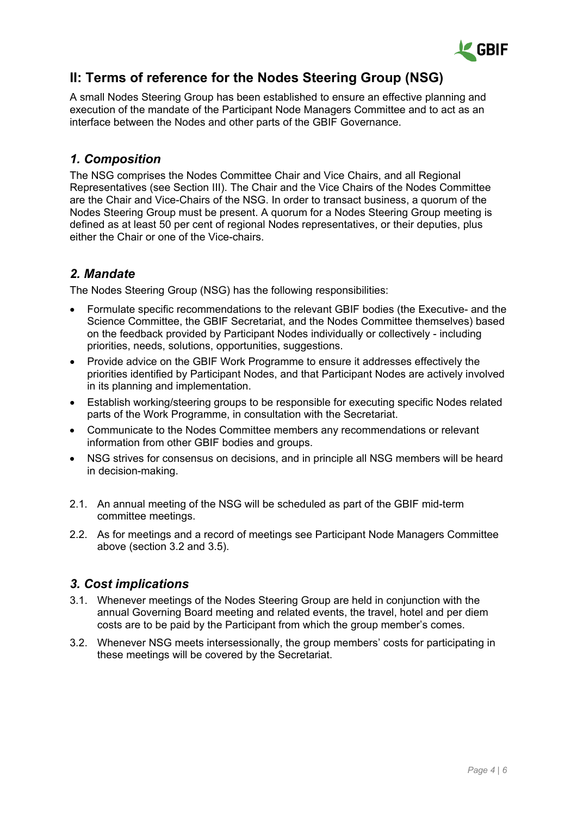

# **II: Terms of reference for the Nodes Steering Group (NSG)**

A small Nodes Steering Group has been established to ensure an effective planning and execution of the mandate of the Participant Node Managers Committee and to act as an interface between the Nodes and other parts of the GBIF Governance.

#### *1. Composition*

The NSG comprises the Nodes Committee Chair and Vice Chairs, and all Regional Representatives (see Section III). The Chair and the Vice Chairs of the Nodes Committee are the Chair and Vice-Chairs of the NSG. In order to transact business, a quorum of the Nodes Steering Group must be present. A quorum for a Nodes Steering Group meeting is defined as at least 50 per cent of regional Nodes representatives, or their deputies, plus either the Chair or one of the Vice-chairs.

## *2. Mandate*

The Nodes Steering Group (NSG) has the following responsibilities:

- Formulate specific recommendations to the relevant GBIF bodies (the Executive- and the Science Committee, the GBIF Secretariat, and the Nodes Committee themselves) based on the feedback provided by Participant Nodes individually or collectively - including priorities, needs, solutions, opportunities, suggestions.
- Provide advice on the GBIF Work Programme to ensure it addresses effectively the priorities identified by Participant Nodes, and that Participant Nodes are actively involved in its planning and implementation.
- Establish working/steering groups to be responsible for executing specific Nodes related parts of the Work Programme, in consultation with the Secretariat.
- Communicate to the Nodes Committee members any recommendations or relevant information from other GBIF bodies and groups.
- NSG strives for consensus on decisions, and in principle all NSG members will be heard in decision-making.
- 2.1. An annual meeting of the NSG will be scheduled as part of the GBIF mid-term committee meetings.
- 2.2. As for meetings and a record of meetings see Participant Node Managers Committee above (section 3.2 and 3.5).

## *3. Cost implications*

- 3.1. Whenever meetings of the Nodes Steering Group are held in conjunction with the annual Governing Board meeting and related events, the travel, hotel and per diem costs are to be paid by the Participant from which the group member's comes.
- 3.2. Whenever NSG meets intersessionally, the group members' costs for participating in these meetings will be covered by the Secretariat.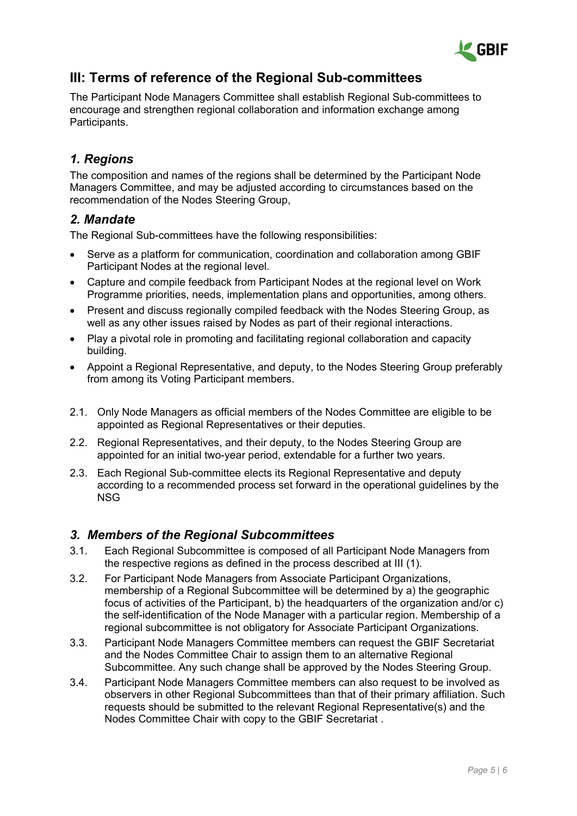

# **III: Terms of reference of the Regional Sub-committees**

The Participant Node Managers Committee shall establish Regional Sub-committees to encourage and strengthen regional collaboration and information exchange among Participants.

## *1. Regions*

The composition and names of the regions shall be determined by the Participant Node Managers Committee, and may be adjusted according to circumstances based on the recommendation of the Nodes Steering Group,

#### *2. Mandate*

The Regional Sub-committees have the following responsibilities:

- Serve as a platform for communication, coordination and collaboration among GBIF Participant Nodes at the regional level.
- Capture and compile feedback from Participant Nodes at the regional level on Work Programme priorities, needs, implementation plans and opportunities, among others.
- Present and discuss regionally compiled feedback with the Nodes Steering Group, as well as any other issues raised by Nodes as part of their regional interactions.
- Play a pivotal role in promoting and facilitating regional collaboration and capacity building.
- Appoint a Regional Representative, and deputy, to the Nodes Steering Group preferably from among its Voting Participant members.
- 2.1. Only Node Managers as official members of the Nodes Committee are eligible to be appointed as Regional Representatives or their deputies.
- 2.2. Regional Representatives, and their deputy, to the Nodes Steering Group are appointed for an initial two-year period, extendable for a further two years.
- 2.3. Each Regional Sub-committee elects its Regional Representative and deputy according to a recommended process set forward in the operational guidelines by the NSG

#### *3. Members of the Regional Subcommittees*

- 3.1. Each Regional Subcommittee is composed of all Participant Node Managers from the respective regions as defined in the process described at III (1).
- 3.2. For Participant Node Managers from Associate Participant Organizations, membership of a Regional Subcommittee will be determined by a) the geographic focus of activities of the Participant, b) the headquarters of the organization and/or c) the self-identification of the Node Manager with a particular region. Membership of a regional subcommittee is not obligatory for Associate Participant Organizations.
- 3.3. Participant Node Managers Committee members can request the GBIF Secretariat and the Nodes Committee Chair to assign them to an alternative Regional Subcommittee. Any such change shall be approved by the Nodes Steering Group.
- 3.4. Participant Node Managers Committee members can also request to be involved as observers in other Regional Subcommittees than that of their primary affiliation. Such requests should be submitted to the relevant Regional Representative(s) and the Nodes Committee Chair with copy to the GBIF Secretariat .